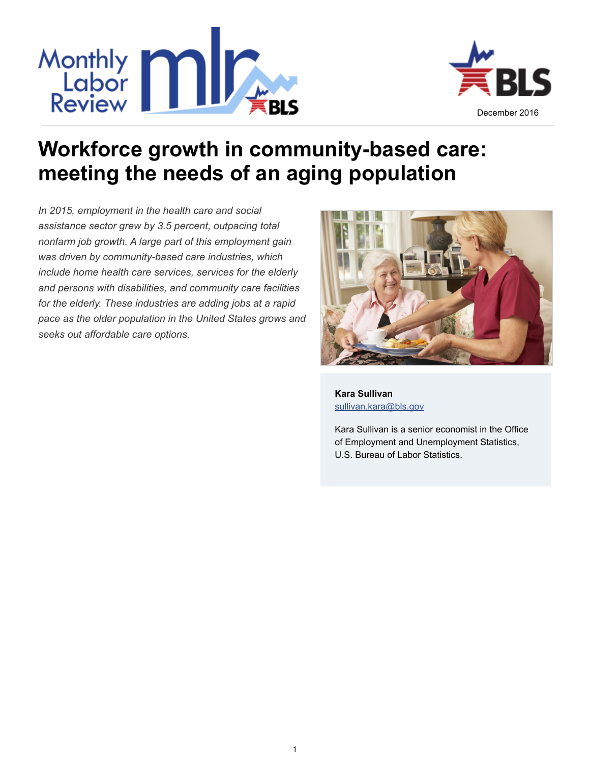



# **Workforce growth in community-based care: meeting the needs of an aging population**

*In 2015, employment in the health care and social assistance sector grew by 3.5 percent, outpacing total nonfarm job growth. A large part of this employment gain was driven by community-based care industries, which include home health care services, services for the elderly and persons with disabilities, and community care facilities for the elderly. These industries are adding jobs at a rapid pace as the older population in the United States grows and seeks out affordable care options.*



**[Kara Sullivan](http://www.bls.gov/opub/mlr/author/sullivan-kara.htm)** [sullivan.kara@bls.gov](mailto:sullivan.kara@bls.gov)

Kara Sullivan is a senior economist in the Office of Employment and Unemployment Statistics, U.S. Bureau of Labor Statistics.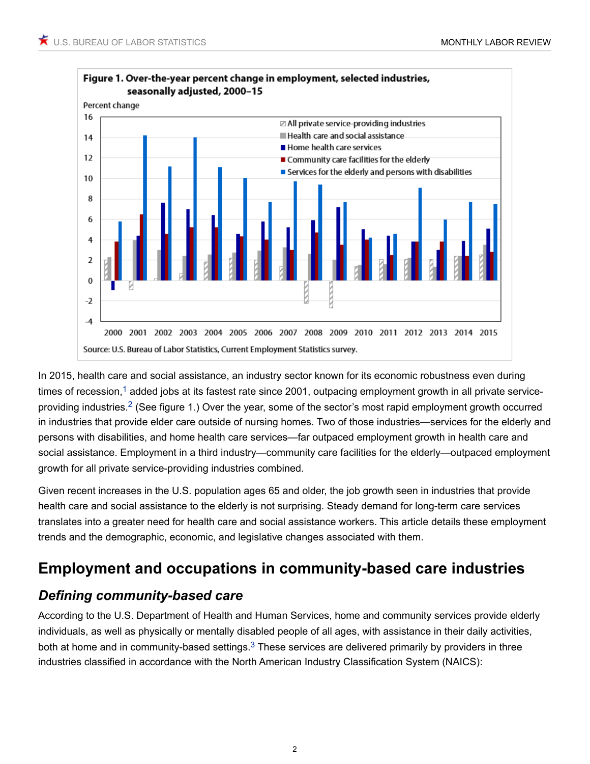

<span id="page-1-1"></span><span id="page-1-0"></span>In 2015, health care and social assistance, an industry sector known for its economic robustness even during times of recession,<sup>[1](#page-12-0)</sup> added jobs at its fastest rate since 2001, outpacing employment growth in all private serviceproviding industries.[2](#page-12-1) (See figure 1.) Over the year, some of the sector's most rapid employment growth occurred in industries that provide elder care outside of nursing homes. Two of those industries—services for the elderly and persons with disabilities, and home health care services—far outpaced employment growth in health care and social assistance. Employment in a third industry—community care facilities for the elderly—outpaced employment growth for all private service-providing industries combined.

Given recent increases in the U.S. population ages 65 and older, the job growth seen in industries that provide health care and social assistance to the elderly is not surprising. Steady demand for long-term care services translates into a greater need for health care and social assistance workers. This article details these employment trends and the demographic, economic, and legislative changes associated with them.

## **Employment and occupations in community-based care industries**

### *Defining community-based care*

<span id="page-1-2"></span>According to the U.S. Department of Health and Human Services, home and community services provide elderly individuals, as well as physically or mentally disabled people of all ages, with assistance in their daily activities, both at home and in community-based settings.<sup>[3](#page-12-2)</sup> These services are delivered primarily by providers in three industries classified in accordance with the North American Industry Classification System (NAICS):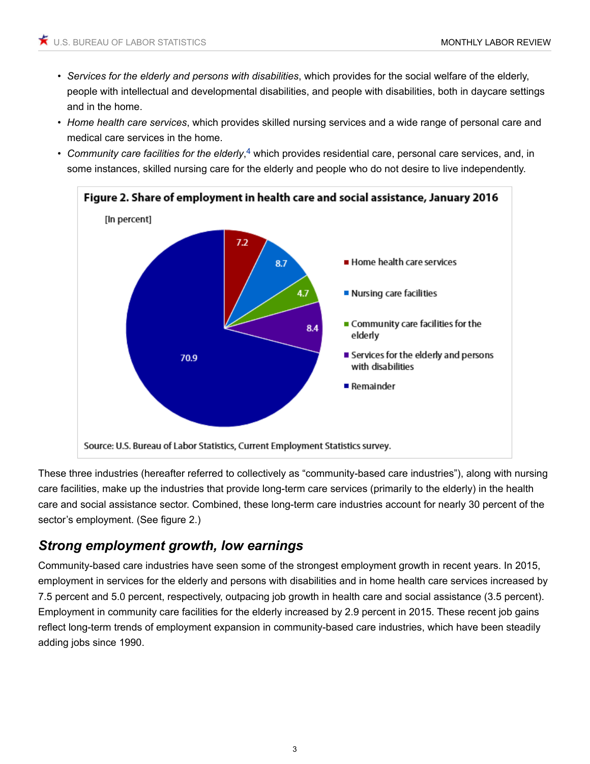- *Services for the elderly and persons with disabilities*, which provides for the social welfare of the elderly, people with intellectual and developmental disabilities, and people with disabilities, both in daycare settings and in the home.
- *Home health care services*, which provides skilled nursing services and a wide range of personal care and medical care services in the home.
- *Community care facilities for the elderly*, [4](#page-12-3) which provides residential care, personal care services, and, in some instances, skilled nursing care for the elderly and people who do not desire to live independently.

<span id="page-2-0"></span>

These three industries (hereafter referred to collectively as "community-based care industries"), along with nursing care facilities, make up the industries that provide long-term care services (primarily to the elderly) in the health care and social assistance sector. Combined, these long-term care industries account for nearly 30 percent of the sector's employment. (See figure 2.)

### *Strong employment growth, low earnings*

Community-based care industries have seen some of the strongest employment growth in recent years. In 2015, employment in services for the elderly and persons with disabilities and in home health care services increased by 7.5 percent and 5.0 percent, respectively, outpacing job growth in health care and social assistance (3.5 percent). Employment in community care facilities for the elderly increased by 2.9 percent in 2015. These recent job gains reflect long-term trends of employment expansion in community-based care industries, which have been steadily adding jobs since 1990.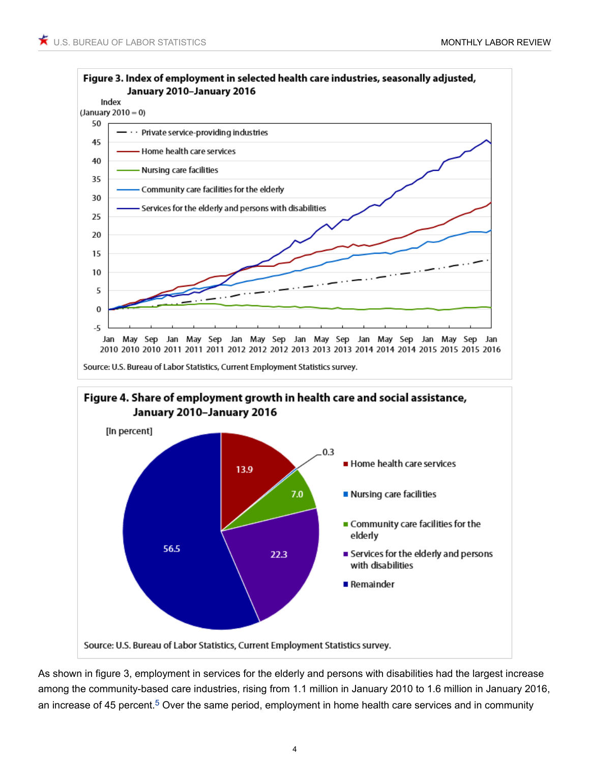#### Figure 3. Index of employment in selected health care industries, seasonally adjusted, January 2010-January 2016





<span id="page-3-0"></span>As shown in figure 3, employment in services for the elderly and persons with disabilities had the largest increase among the community-based care industries, rising from 1.1 million in January 2010 to 1.6 million in January 2016, an increase of 4[5](#page-12-4) percent.<sup>5</sup> Over the same period, employment in home health care services and in community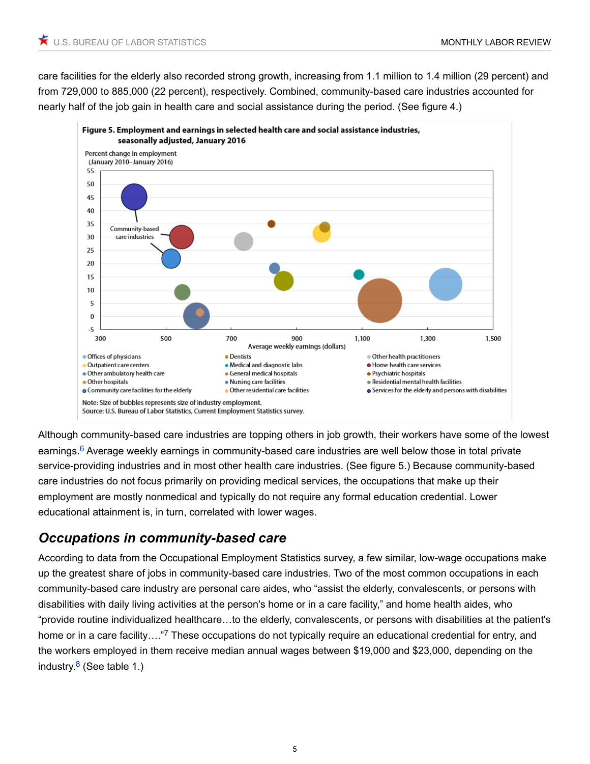care facilities for the elderly also recorded strong growth, increasing from 1.1 million to 1.4 million (29 percent) and from 729,000 to 885,000 (22 percent), respectively. Combined, community-based care industries accounted for nearly half of the job gain in health care and social assistance during the period. (See figure 4.)



<span id="page-4-0"></span>Although community-based care industries are topping others in job growth, their workers have some of the lowest earnings.<sup>[6](#page-12-5)</sup> Average weekly earnings in community-based care industries are well below those in total private service-providing industries and in most other health care industries. (See figure 5.) Because community-based care industries do not focus primarily on providing medical services, the occupations that make up their employment are mostly nonmedical and typically do not require any formal education credential. Lower educational attainment is, in turn, correlated with lower wages.

### *Occupations in community-based care*

<span id="page-4-2"></span><span id="page-4-1"></span>According to data from the Occupational Employment Statistics survey, a few similar, low-wage occupations make up the greatest share of jobs in community-based care industries. Two of the most common occupations in each community-based care industry are personal care aides, who "assist the elderly, convalescents, or persons with disabilities with daily living activities at the person's home or in a care facility," and home health aides, who "provide routine individualized healthcare…to the elderly, convalescents, or persons with disabilities at the patient's home or in a care facility...."<sup>[7](#page-12-6)</sup> These occupations do not typically require an educational credential for entry, and the workers employed in them receive median annual wages between \$19,000 and \$23,000, depending on the industry. $8$  (See table 1.)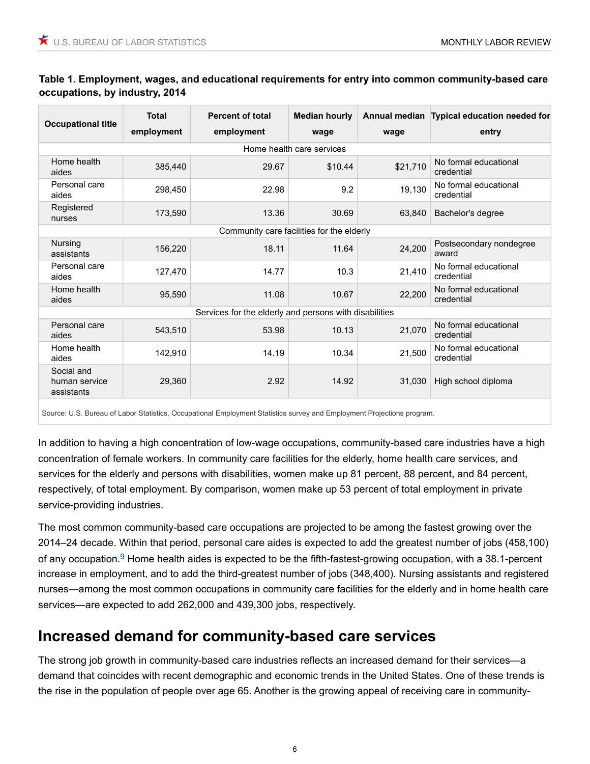#### **Table 1. Employment, wages, and educational requirements for entry into common community-based care occupations, by industry, 2014**

| <b>Occupational title</b>                              | <b>Total</b><br>employment | <b>Percent of total</b><br>employment | <b>Median hourly</b><br>wage | wage     | Annual median Typical education needed for<br>entry |
|--------------------------------------------------------|----------------------------|---------------------------------------|------------------------------|----------|-----------------------------------------------------|
| Home health care services                              |                            |                                       |                              |          |                                                     |
| Home health<br>aides                                   | 385,440                    | 29.67                                 | \$10.44                      | \$21,710 | No formal educational<br>credential                 |
| Personal care<br>aides                                 | 298.450                    | 22.98                                 | 9.2                          | 19,130   | No formal educational<br>credential                 |
| Registered<br>nurses                                   | 173,590                    | 13.36                                 | 30.69                        | 63,840   | Bachelor's degree                                   |
| Community care facilities for the elderly              |                            |                                       |                              |          |                                                     |
| Nursing<br>assistants                                  | 156,220                    | 18.11                                 | 11.64                        | 24,200   | Postsecondary nondegree<br>award                    |
| Personal care<br>aides                                 | 127,470                    | 14.77                                 | 10.3                         | 21,410   | No formal educational<br>credential                 |
| Home health<br>aides                                   | 95,590                     | 11.08                                 | 10.67                        | 22,200   | No formal educational<br>credential                 |
| Services for the elderly and persons with disabilities |                            |                                       |                              |          |                                                     |
| Personal care<br>aides                                 | 543,510                    | 53.98                                 | 10.13                        | 21,070   | No formal educational<br>credential                 |
| Home health<br>aides                                   | 142.910                    | 14.19                                 | 10.34                        | 21,500   | No formal educational<br>credential                 |
| Social and<br>human service<br>assistants              | 29,360                     | 2.92                                  | 14.92                        | 31,030   | High school diploma                                 |
|                                                        |                            |                                       |                              |          |                                                     |

Source: U.S. Bureau of Labor Statistics, Occupational Employment Statistics survey and Employment Projections program.

In addition to having a high concentration of low-wage occupations, community-based care industries have a high concentration of female workers. In community care facilities for the elderly, home health care services, and services for the elderly and persons with disabilities, women make up 81 percent, 88 percent, and 84 percent, respectively, of total employment. By comparison, women make up 53 percent of total employment in private service-providing industries.

<span id="page-5-0"></span>The most common community-based care occupations are projected to be among the fastest growing over the 2014–24 decade. Within that period, personal care aides is expected to add the greatest number of jobs (458,100) of any occupation.<sup>[9](#page-12-8)</sup> Home health aides is expected to be the fifth-fastest-growing occupation, with a 38.1-percent increase in employment, and to add the third-greatest number of jobs (348,400). Nursing assistants and registered nurses—among the most common occupations in community care facilities for the elderly and in home health care services—are expected to add 262,000 and 439,300 jobs, respectively.

### **Increased demand for community-based care services**

The strong job growth in community-based care industries reflects an increased demand for their services—a demand that coincides with recent demographic and economic trends in the United States. One of these trends is the rise in the population of people over age 65. Another is the growing appeal of receiving care in community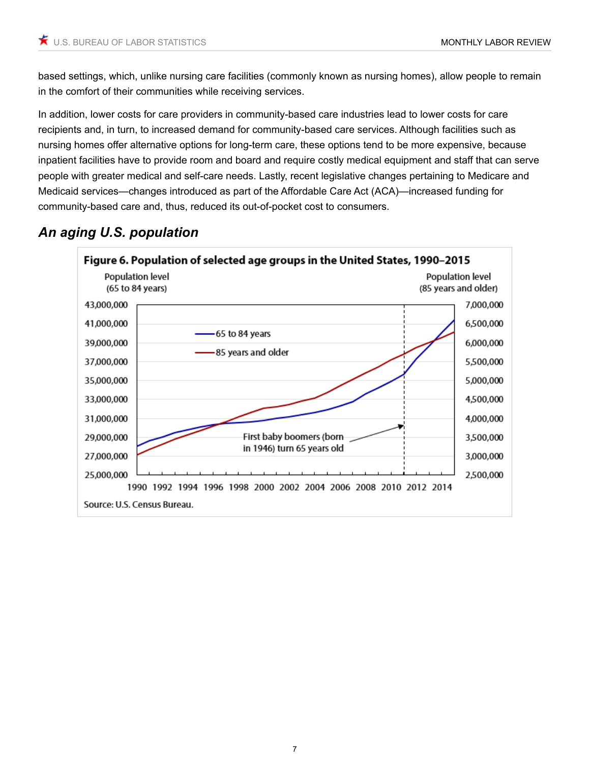based settings, which, unlike nursing care facilities (commonly known as nursing homes), allow people to remain in the comfort of their communities while receiving services.

In addition, lower costs for care providers in community-based care industries lead to lower costs for care recipients and, in turn, to increased demand for community-based care services. Although facilities such as nursing homes offer alternative options for long-term care, these options tend to be more expensive, because inpatient facilities have to provide room and board and require costly medical equipment and staff that can serve people with greater medical and self-care needs. Lastly, recent legislative changes pertaining to Medicare and Medicaid services—changes introduced as part of the Affordable Care Act (ACA)—increased funding for community-based care and, thus, reduced its out-of-pocket cost to consumers.



### *An aging U.S. population*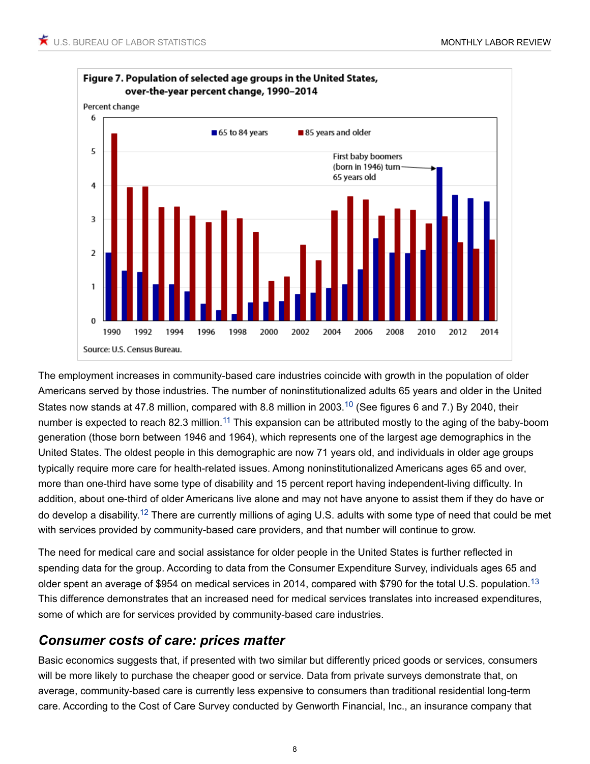

<span id="page-7-1"></span><span id="page-7-0"></span>The employment increases in community-based care industries coincide with growth in the population of older Americans served by those industries. The number of noninstitutionalized adults 65 years and older in the United States now stands at 47.8 million, compared with 8.8 million in 2003.<sup>[10](#page-13-0)</sup> (See figures 6 and 7.) By 2040, their number is expected to reach 82.3 million.<sup>[11](#page-13-1)</sup> This expansion can be attributed mostly to the aging of the baby-boom generation (those born between 1946 and 1964), which represents one of the largest age demographics in the United States. The oldest people in this demographic are now 71 years old, and individuals in older age groups typically require more care for health-related issues. Among noninstitutionalized Americans ages 65 and over, more than one-third have some type of disability and 15 percent report having independent-living difficulty. In addition, about one-third of older Americans live alone and may not have anyone to assist them if they do have or do develop a disability.[12](#page-13-2) There are currently millions of aging U.S. adults with some type of need that could be met with services provided by community-based care providers, and that number will continue to grow.

<span id="page-7-3"></span><span id="page-7-2"></span>The need for medical care and social assistance for older people in the United States is further reflected in spending data for the group. According to data from the Consumer Expenditure Survey, individuals ages 65 and older spent an average of \$954 on medical services in 2014, compared with \$790 for the total U.S. population.<sup>[13](#page-13-3)</sup> This difference demonstrates that an increased need for medical services translates into increased expenditures, some of which are for services provided by community-based care industries.

### *Consumer costs of care: prices matter*

Basic economics suggests that, if presented with two similar but differently priced goods or services, consumers will be more likely to purchase the cheaper good or service. Data from private surveys demonstrate that, on average, community-based care is currently less expensive to consumers than traditional residential long-term care. According to the Cost of Care Survey conducted by Genworth Financial, Inc., an insurance company that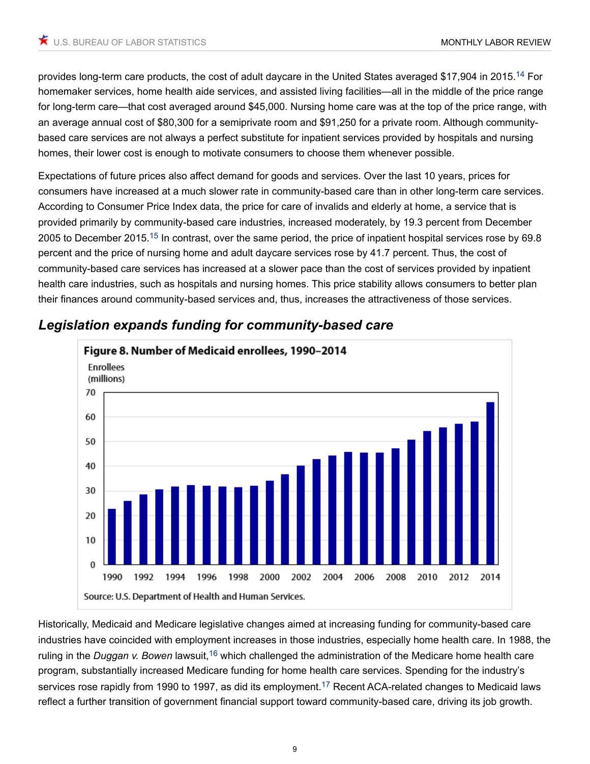<span id="page-8-0"></span>provides long-term care products, the cost of adult daycare in the United States averaged \$17,904 in 2015.<sup>[14](#page-13-4)</sup> For homemaker services, home health aide services, and assisted living facilities—all in the middle of the price range for long-term care—that cost averaged around \$45,000. Nursing home care was at the top of the price range, with an average annual cost of \$80,300 for a semiprivate room and \$91,250 for a private room. Although communitybased care services are not always a perfect substitute for inpatient services provided by hospitals and nursing homes, their lower cost is enough to motivate consumers to choose them whenever possible.

Expectations of future prices also affect demand for goods and services. Over the last 10 years, prices for consumers have increased at a much slower rate in community-based care than in other long-term care services. According to Consumer Price Index data, the price for care of invalids and elderly at home, a service that is provided primarily by community-based care industries, increased moderately, by 19.3 percent from December 2005 to December 2015.[15](#page-13-5) In contrast, over the same period, the price of inpatient hospital services rose by 69.8 percent and the price of nursing home and adult daycare services rose by 41.7 percent. Thus, the cost of community-based care services has increased at a slower pace than the cost of services provided by inpatient health care industries, such as hospitals and nursing homes. This price stability allows consumers to better plan their finances around community-based services and, thus, increases the attractiveness of those services.

<span id="page-8-1"></span>

### *Legislation expands funding for community-based care*

<span id="page-8-3"></span><span id="page-8-2"></span>Historically, Medicaid and Medicare legislative changes aimed at increasing funding for community-based care industries have coincided with employment increases in those industries, especially home health care. In 1988, the ruling in the *Duggan v. Bowen* lawsuit,<sup>[16](#page-13-6)</sup> which challenged the administration of the Medicare home health care program, substantially increased Medicare funding for home health care services. Spending for the industry's services rose rapidly from 1990 to 1997, as did its employment.<sup>[17](#page-13-7)</sup> Recent ACA-related changes to Medicaid laws reflect a further transition of government financial support toward community-based care, driving its job growth.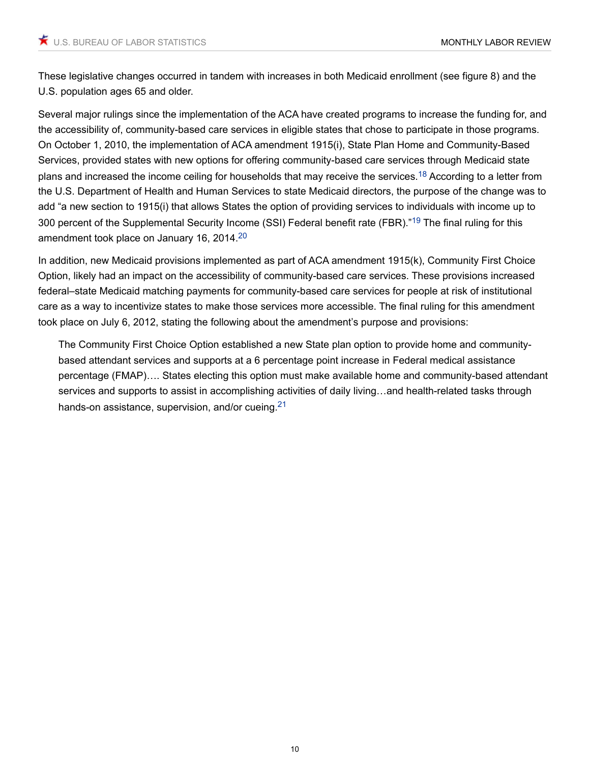These legislative changes occurred in tandem with increases in both Medicaid enrollment (see figure 8) and the U.S. population ages 65 and older.

<span id="page-9-0"></span>Several major rulings since the implementation of the ACA have created programs to increase the funding for, and the accessibility of, community-based care services in eligible states that chose to participate in those programs. On October 1, 2010, the implementation of ACA amendment 1915(i), State Plan Home and Community-Based Services, provided states with new options for offering community-based care services through Medicaid state plans and increased the income ceiling for households that may receive the services.<sup>[18](#page-13-8)</sup> According to a letter from the U.S. Department of Health and Human Services to state Medicaid directors, the purpose of the change was to add "a new section to 1915(i) that allows States the option of providing services to individuals with income up to 300 percent of the Supplemental Security Income (SSI) Federal benefit rate (FBR)."<sup>[19](#page-13-9)</sup> The final ruling for this amendment took place on January 16, [20](#page-13-10)14.<sup>20</sup>

<span id="page-9-2"></span>In addition, new Medicaid provisions implemented as part of ACA amendment 1915(k), Community First Choice Option, likely had an impact on the accessibility of community-based care services. These provisions increased federal–state Medicaid matching payments for community-based care services for people at risk of institutional care as a way to incentivize states to make those services more accessible. The final ruling for this amendment took place on July 6, 2012, stating the following about the amendment's purpose and provisions:

<span id="page-9-3"></span><span id="page-9-1"></span>The Community First Choice Option established a new State plan option to provide home and communitybased attendant services and supports at a 6 percentage point increase in Federal medical assistance percentage (FMAP)…. States electing this option must make available home and community-based attendant services and supports to assist in accomplishing activities of daily living…and health-related tasks through hands-on assistance, supervision, and/or cueing.<sup>[21](#page-13-11)</sup>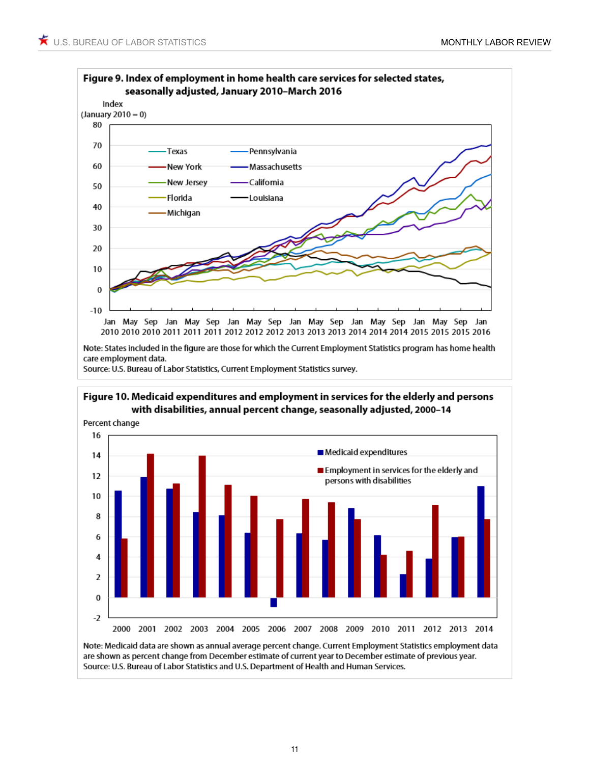

Source: U.S. Bureau of Labor Statistics, Current Employment Statistics survey.

#### Figure 10. Medicaid expenditures and employment in services for the elderly and persons with disabilities, annual percent change, seasonally adjusted, 2000-14



Note: Medicaid data are shown as annual average percent change. Current Employment Statistics employment data are shown as percent change from December estimate of current year to December estimate of previous year. Source: U.S. Bureau of Labor Statistics and U.S. Department of Health and Human Services.

11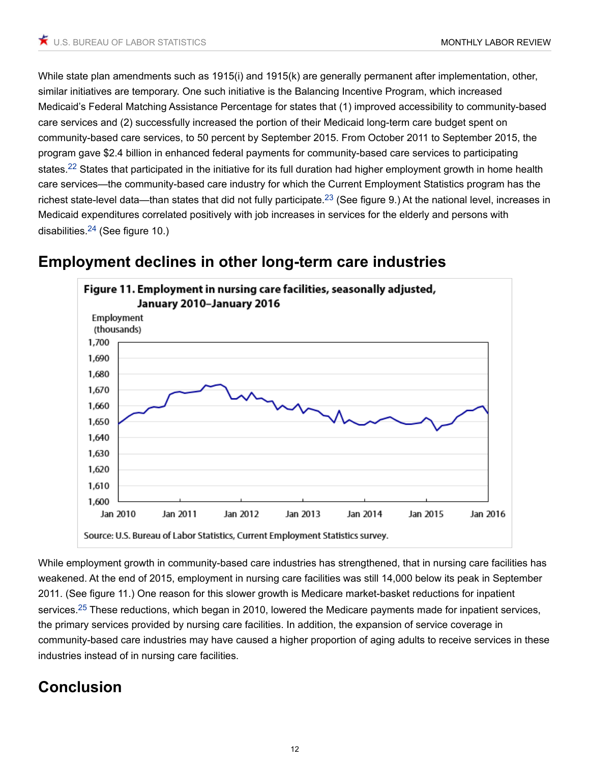While state plan amendments such as 1915(i) and 1915(k) are generally permanent after implementation, other, similar initiatives are temporary. One such initiative is the Balancing Incentive Program, which increased Medicaid's Federal Matching Assistance Percentage for states that (1) improved accessibility to community-based care services and (2) successfully increased the portion of their Medicaid long-term care budget spent on community-based care services, to 50 percent by September 2015. From October 2011 to September 2015, the program gave \$2.4 billion in enhanced federal payments for community-based care services to participating states.<sup>[22](#page-13-12)</sup> States that participated in the initiative for its full duration had higher employment growth in home health care services—the community-based care industry for which the Current Employment Statistics program has the richest state-level data—than states that did not fully participate.<sup>[23](#page-13-13)</sup> (See figure 9.) At the national level, increases in Medicaid expenditures correlated positively with job increases in services for the elderly and persons with disabilities.[24](#page-13-14) (See figure 10.)

<span id="page-11-2"></span><span id="page-11-1"></span>

### <span id="page-11-0"></span>**Employment declines in other long-term care industries**

<span id="page-11-3"></span>While employment growth in community-based care industries has strengthened, that in nursing care facilities has weakened. At the end of 2015, employment in nursing care facilities was still 14,000 below its peak in September 2011. (See figure 11.) One reason for this slower growth is Medicare market-basket reductions for inpatient services.<sup>[25](#page-13-15)</sup> These reductions, which began in 2010, lowered the Medicare payments made for inpatient services, the primary services provided by nursing care facilities. In addition, the expansion of service coverage in community-based care industries may have caused a higher proportion of aging adults to receive services in these industries instead of in nursing care facilities.

# **Conclusion**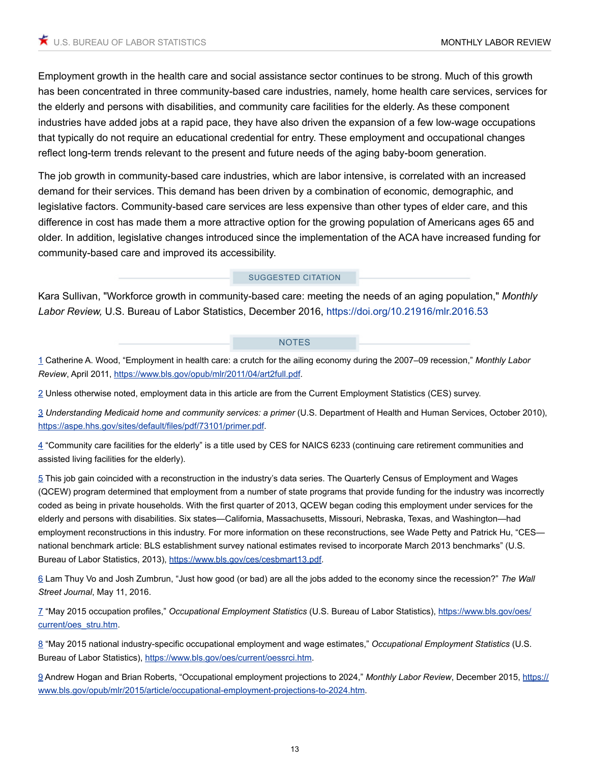Employment growth in the health care and social assistance sector continues to be strong. Much of this growth has been concentrated in three community-based care industries, namely, home health care services, services for the elderly and persons with disabilities, and community care facilities for the elderly. As these component industries have added jobs at a rapid pace, they have also driven the expansion of a few low-wage occupations that typically do not require an educational credential for entry. These employment and occupational changes reflect long-term trends relevant to the present and future needs of the aging baby-boom generation.

The job growth in community-based care industries, which are labor intensive, is correlated with an increased demand for their services. This demand has been driven by a combination of economic, demographic, and legislative factors. Community-based care services are less expensive than other types of elder care, and this difference in cost has made them a more attractive option for the growing population of Americans ages 65 and older. In addition, legislative changes introduced since the implementation of the ACA have increased funding for community-based care and improved its accessibility.

#### SUGGESTED CITATION

Kara Sullivan, "Workforce growth in community-based care: meeting the needs of an aging population," *Monthly Labor Review,* U.S. Bureau of Labor Statistics, December 2016, <https://doi.org/10.21916/mlr.2016.53>

#### **NOTES**

<span id="page-12-0"></span>[1](#page-1-0) Catherine A. Wood, "Employment in health care: a crutch for the ailing economy during the 2007–09 recession," *Monthly Labor Review*, April 2011, [https://www.bls.gov/opub/mlr/2011/04/art2full.pdf.](https://www.bls.gov/opub/mlr/2011/04/art2full.pdf)

<span id="page-12-1"></span>[2](#page-1-1) Unless otherwise noted, employment data in this article are from the Current Employment Statistics (CES) survey.

<span id="page-12-2"></span>[3](#page-1-2) *Understanding Medicaid home and community services: a primer* (U.S. Department of Health and Human Services, October 2010), <https://aspe.hhs.gov/sites/default/files/pdf/73101/primer.pdf>.

<span id="page-12-3"></span>[4](#page-2-0) "Community care facilities for the elderly" is a title used by CES for NAICS 6233 (continuing care retirement communities and assisted living facilities for the elderly).

<span id="page-12-4"></span>[5](#page-3-0) This job gain coincided with a reconstruction in the industry's data series. The Quarterly Census of Employment and Wages (QCEW) program determined that employment from a number of state programs that provide funding for the industry was incorrectly coded as being in private households. With the first quarter of 2013, QCEW began coding this employment under services for the elderly and persons with disabilities. Six states—California, Massachusetts, Missouri, Nebraska, Texas, and Washington—had employment reconstructions in this industry. For more information on these reconstructions, see Wade Petty and Patrick Hu, "CES national benchmark article: BLS establishment survey national estimates revised to incorporate March 2013 benchmarks" (U.S. Bureau of Labor Statistics, 2013), [https://www.bls.gov/ces/cesbmart13.pdf.](https://www.bls.gov/ces/cesbmart13.pdf)

<span id="page-12-5"></span>[6](#page-4-0) Lam Thuy Vo and Josh Zumbrun, "Just how good (or bad) are all the jobs added to the economy since the recession?" *The Wall Street Journal*, May 11, 2016.

<span id="page-12-6"></span>[7](#page-4-1) "May 2015 occupation profiles," *Occupational Employment Statistics* (U.S. Bureau of Labor Statistics), [https://www.bls.gov/oes/](https://www.bls.gov/oes/current/oes_stru.htm) [current/oes\\_stru.htm](https://www.bls.gov/oes/current/oes_stru.htm).

<span id="page-12-7"></span>[8](#page-4-2) "May 2015 national industry-specific occupational employment and wage estimates," *Occupational Employment Statistics* (U.S. Bureau of Labor Statistics), [https://www.bls.gov/oes/current/oessrci.htm.](https://www.bls.gov/oes/current/oessrci.htm)

<span id="page-12-8"></span>[9](#page-5-0) Andrew Hogan and Brian Roberts, "Occupational employment projections to 2024," *Monthly Labor Review*, December 2015, [https://](https://www.bls.gov/opub/mlr/2015/article/occupational-employment-projections-to-2024.htm) [www.bls.gov/opub/mlr/2015/article/occupational-employment-projections-to-2024.htm.](https://www.bls.gov/opub/mlr/2015/article/occupational-employment-projections-to-2024.htm)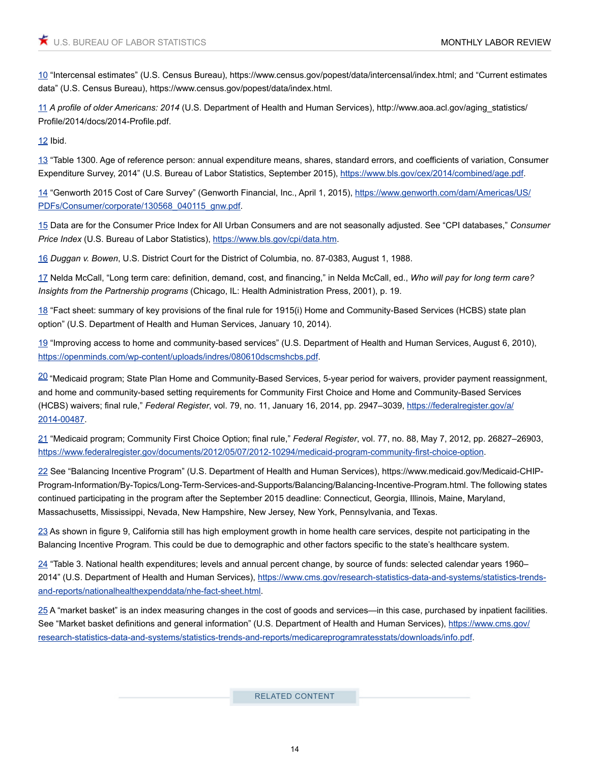<span id="page-13-0"></span>[10](#page-7-0) "Intercensal estimates" (U.S. Census Bureau), https://www.census.gov/popest/data/intercensal/index.html; and "Current estimates data" (U.S. Census Bureau), https://www.census.gov/popest/data/index.html.

<span id="page-13-1"></span>[11](#page-7-1) *A profile of older Americans: 2014* (U.S. Department of Health and Human Services), http://www.aoa.acl.gov/aging\_statistics/ Profile/2014/docs/2014-Profile.pdf.

<span id="page-13-2"></span>[12](#page-7-2) Ibid.

<span id="page-13-3"></span>[13](#page-7-3) "Table 1300. Age of reference person: annual expenditure means, shares, standard errors, and coefficients of variation, Consumer Expenditure Survey, 2014" (U.S. Bureau of Labor Statistics, September 2015), <https://www.bls.gov/cex/2014/combined/age.pdf>.

<span id="page-13-4"></span>[14](#page-8-0) "Genworth 2015 Cost of Care Survey" (Genworth Financial, Inc., April 1, 2015), [https://www.genworth.com/dam/Americas/US/](https://www.genworth.com/dam/Americas/US/PDFs/Consumer/corporate/130568_040115_gnw.pdf) [PDFs/Consumer/corporate/130568\\_040115\\_gnw.pdf.](https://www.genworth.com/dam/Americas/US/PDFs/Consumer/corporate/130568_040115_gnw.pdf)

<span id="page-13-5"></span>[15](#page-8-1) Data are for the Consumer Price Index for All Urban Consumers and are not seasonally adjusted. See "CPI databases," *Consumer Price Index* (U.S. Bureau of Labor Statistics), [https://www.bls.gov/cpi/data.htm.](https://www.bls.gov/cpi/data.htm)

<span id="page-13-6"></span>[16](#page-8-2) *Duggan v. Bowen*, U.S. District Court for the District of Columbia, no. 87-0383, August 1, 1988.

<span id="page-13-7"></span>[17](#page-8-3) Nelda McCall, "Long term care: definition, demand, cost, and financing," in Nelda McCall, ed., *Who will pay for long term care? Insights from the Partnership programs* (Chicago, IL: Health Administration Press, 2001), p. 19.

<span id="page-13-8"></span>[18](#page-9-0) "Fact sheet: summary of key provisions of the final rule for 1915(i) Home and Community-Based Services (HCBS) state plan option" (U.S. Department of Health and Human Services, January 10, 2014).

<span id="page-13-9"></span>[19](#page-9-1) "Improving access to home and community-based services" (U.S. Department of Health and Human Services, August 6, 2010), <https://openminds.com/wp-content/uploads/indres/080610dscmshcbs.pdf>.

<span id="page-13-10"></span> $\frac{20}{20}$  $\frac{20}{20}$  $\frac{20}{20}$  "Medicaid program; State Plan Home and Community-Based Services, 5-year period for waivers, provider payment reassignment, and home and community-based setting requirements for Community First Choice and Home and Community-Based Services (HCBS) waivers; final rule," *Federal Register*, vol. 79, no. 11, January 16, 2014, pp. 2947–3039, [https://federalregister.gov/a/](https://federalregister.gov/a/2014-00487) [2014-00487.](https://federalregister.gov/a/2014-00487)

<span id="page-13-11"></span>[21](#page-9-3) "Medicaid program; Community First Choice Option; final rule," *Federal Register*, vol. 77, no. 88, May 7, 2012, pp. 26827–26903, <https://www.federalregister.gov/documents/2012/05/07/2012-10294/medicaid-program-community-first-choice-option>.

<span id="page-13-12"></span>[22](#page-11-0) See "Balancing Incentive Program" (U.S. Department of Health and Human Services), https://www.medicaid.gov/Medicaid-CHIP-Program-Information/By-Topics/Long-Term-Services-and-Supports/Balancing/Balancing-Incentive-Program.html. The following states continued participating in the program after the September 2015 deadline: Connecticut, Georgia, Illinois, Maine, Maryland, Massachusetts, Mississippi, Nevada, New Hampshire, New Jersey, New York, Pennsylvania, and Texas.

<span id="page-13-13"></span>[23](#page-11-1) As shown in figure 9, California still has high employment growth in home health care services, despite not participating in the Balancing Incentive Program. This could be due to demographic and other factors specific to the state's healthcare system.

<span id="page-13-14"></span>[24](#page-11-2) "Table 3. National health expenditures; levels and annual percent change, by source of funds: selected calendar years 1960– 2014" (U.S. Department of Health and Human Services), [https://www.cms.gov/research-statistics-data-and-systems/statistics-trends](https://www.cms.gov/research-statistics-data-and-systems/statistics-trends-and-reports/nationalhealthexpenddata/nhe-fact-sheet.html)[and-reports/nationalhealthexpenddata/nhe-fact-sheet.html.](https://www.cms.gov/research-statistics-data-and-systems/statistics-trends-and-reports/nationalhealthexpenddata/nhe-fact-sheet.html)

<span id="page-13-15"></span>[25](#page-11-3) A "market basket" is an index measuring changes in the cost of goods and services—in this case, purchased by inpatient facilities. See "Market basket definitions and general information" (U.S. Department of Health and Human Services), [https://www.cms.gov/](https://www.cms.gov/research-statistics-data-and-systems/statistics-trends-and-reports/medicareprogramratesstats/downloads/info.pdf) [research-statistics-data-and-systems/statistics-trends-and-reports/medicareprogramratesstats/downloads/info.pdf](https://www.cms.gov/research-statistics-data-and-systems/statistics-trends-and-reports/medicareprogramratesstats/downloads/info.pdf).

RELATED CONTENT